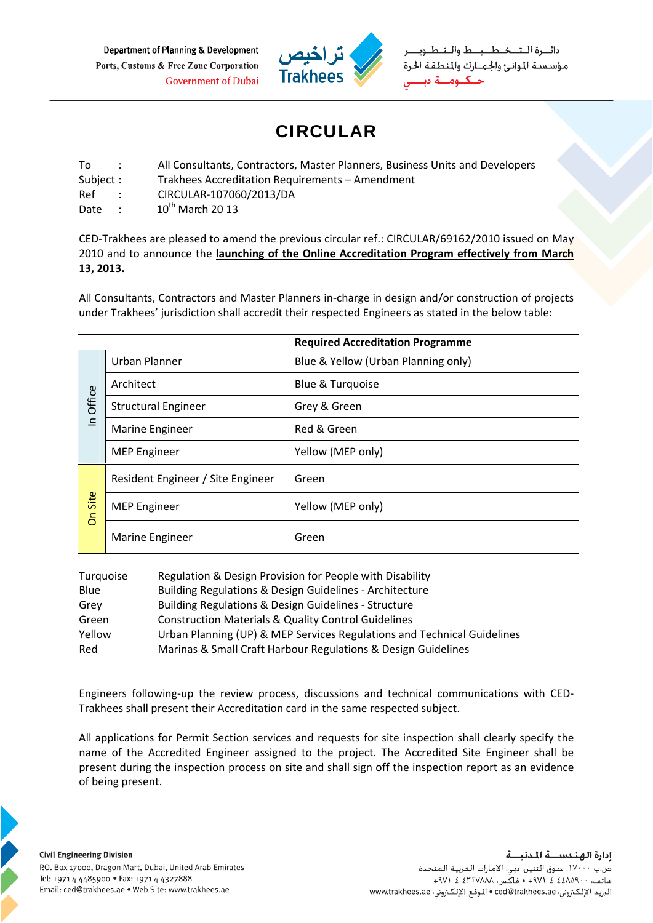Department of Planning & Development Ports, Customs & Free Zone Corporation **Government of Dubai** 



ـط والــتـ ىلئے قالىت مؤسسة الموانئ والجمارك والنطقة الحرة كنوم

## CIRCULAR

To : All Consultants, Contractors, Master Planners, Business Units and Developers

- Subject : Trakhees Accreditation Requirements Amendment
- Ref : CIRCULAR‐107060/2013/DA

Date :  $10^{th}$  March 20 13

CED‐Trakhees are pleased to amend the previous circular ref.: CIRCULAR/69162/2010 issued on May 2010 and to announce the **launching of the Online Accreditation Program effectively from March 13, 2013.**

All Consultants, Contractors and Master Planners in‐charge in design and/or construction of projects under Trakhees' jurisdiction shall accredit their respected Engineers as stated in the below table:

|                        |                                   | <b>Required Accreditation Programme</b> |
|------------------------|-----------------------------------|-----------------------------------------|
| In Office              | Urban Planner                     | Blue & Yellow (Urban Planning only)     |
|                        | Architect                         | Blue & Turquoise                        |
|                        | <b>Structural Engineer</b>        | Grey & Green                            |
|                        | Marine Engineer                   | Red & Green                             |
|                        | <b>MEP Engineer</b>               | Yellow (MEP only)                       |
| Site<br>$\overline{5}$ | Resident Engineer / Site Engineer | Green                                   |
|                        | <b>MEP Engineer</b>               | Yellow (MEP only)                       |
|                        | Marine Engineer                   | Green                                   |

| Turquoise | Regulation & Design Provision for People with Disability                |
|-----------|-------------------------------------------------------------------------|
| Blue      | <b>Building Regulations &amp; Design Guidelines - Architecture</b>      |
| Grey      | <b>Building Regulations &amp; Design Guidelines - Structure</b>         |
| Green     | <b>Construction Materials &amp; Quality Control Guidelines</b>          |
| Yellow    | Urban Planning (UP) & MEP Services Regulations and Technical Guidelines |
| Red       | Marinas & Small Craft Harbour Regulations & Design Guidelines           |

Engineers following‐up the review process, discussions and technical communications with CED‐ Trakhees shall present their Accreditation card in the same respected subject.

All applications for Permit Section services and requests for site inspection shall clearly specify the name of the Accredited Engineer assigned to the project. The Accredited Site Engineer shall be present during the inspection process on site and shall sign off the inspection report as an evidence of being present.